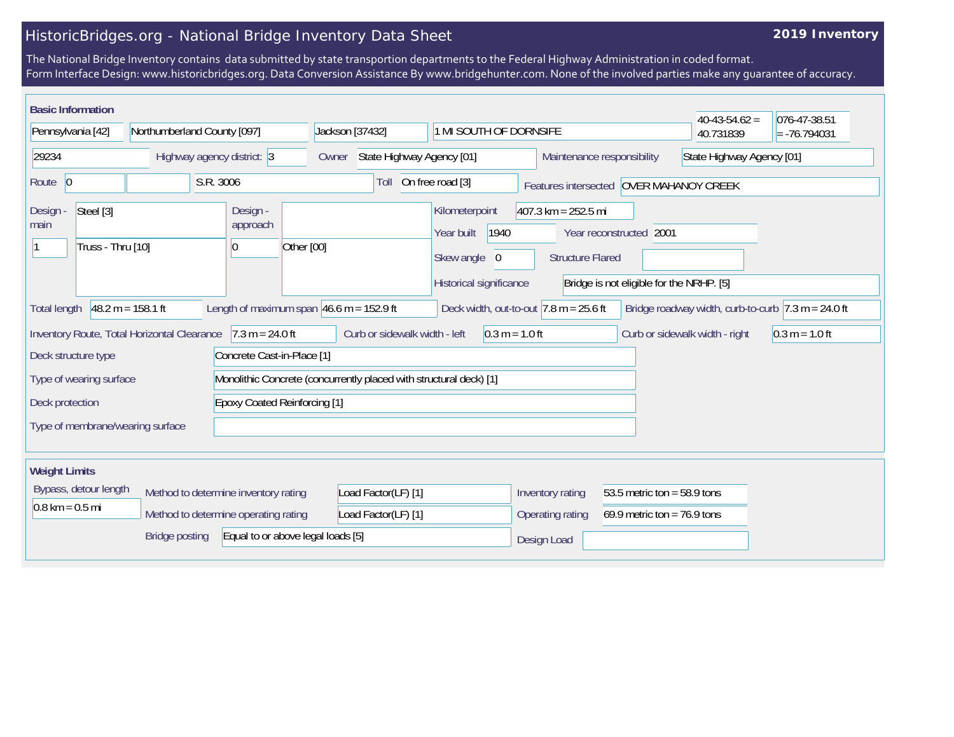## HistoricBridges.org - National Bridge Inventory Data Sheet

## **2019 Inventory**

The National Bridge Inventory contains data submitted by state transportion departments to the Federal Highway Administration in coded format. Form Interface Design: www.historicbridges.org. Data Conversion Assistance By www.bridgehunter.com. None of the involved parties make any guarantee of accuracy.

| <b>Basic Information</b>                                           |                                        |                                                 |                                                                    |                                                                                 |                                                  |                                                                     | $40-43-54.62 =$                                                       | 076-47-38.51     |
|--------------------------------------------------------------------|----------------------------------------|-------------------------------------------------|--------------------------------------------------------------------|---------------------------------------------------------------------------------|--------------------------------------------------|---------------------------------------------------------------------|-----------------------------------------------------------------------|------------------|
| Pennsylvania [42]<br>Northumberland County [097]                   |                                        |                                                 | Jackson [37432]<br>1 MI SOUTH OF DORNSIFE                          |                                                                                 |                                                  | 40.731839                                                           | $= -76.794031$                                                        |                  |
| 29234<br>Highway agency district: 3                                |                                        | Owner                                           | State Highway Agency [01]                                          |                                                                                 |                                                  | Maintenance responsibility<br>State Highway Agency [01]             |                                                                       |                  |
| Route 0                                                            | S.R. 3006                              |                                                 | Toll                                                               | On free road [3]                                                                |                                                  | Features intersected OVER MAHANOY CREEK                             |                                                                       |                  |
| Steel [3]<br>Design -<br>main<br>Truss - Thru [10]                 | Design -<br>approach<br>$\overline{0}$ | Other [00]                                      |                                                                    | Kilometerpoint<br>Year built<br>1940<br>Skew angle 0<br>Historical significance | $407.3$ km = 252.5 mi<br><b>Structure Flared</b> | Year reconstructed 2001<br>Bridge is not eligible for the NRHP. [5] |                                                                       |                  |
| $48.2 m = 158.1 ft$<br><b>Total length</b>                         |                                        | Length of maximum span $46.6$ m = 152.9 ft      |                                                                    | Deck width, out-to-out $7.8$ m = 25.6 ft                                        |                                                  |                                                                     | Bridge roadway width, curb-to-curb $ 7.3 \text{ m} = 24.0 \text{ ft}$ |                  |
| Inventory Route, Total Horizontal Clearance<br>Deck structure type |                                        | $7.3 m = 24.0 ft$<br>Concrete Cast-in-Place [1] | Curb or sidewalk width - left                                      | $0.3 m = 1.0 ft$                                                                |                                                  |                                                                     | Curb or sidewalk width - right                                        | $0.3 m = 1.0 ft$ |
| Type of wearing surface                                            |                                        |                                                 | Monolithic Concrete (concurrently placed with structural deck) [1] |                                                                                 |                                                  |                                                                     |                                                                       |                  |
| <b>Epoxy Coated Reinforcing [1]</b><br>Deck protection             |                                        |                                                 |                                                                    |                                                                                 |                                                  |                                                                     |                                                                       |                  |
| Type of membrane/wearing surface                                   |                                        |                                                 |                                                                    |                                                                                 |                                                  |                                                                     |                                                                       |                  |
| <b>Weight Limits</b>                                               |                                        |                                                 |                                                                    |                                                                                 |                                                  |                                                                     |                                                                       |                  |
| Bypass, detour length<br>Method to determine inventory rating      |                                        |                                                 | Load Factor(LF) [1]                                                |                                                                                 | Inventory rating                                 | 53.5 metric ton = $58.9$ tons                                       |                                                                       |                  |
| $0.8 \text{ km} = 0.5 \text{ mi}$                                  | Method to determine operating rating   |                                                 | Load Factor(LF) [1]                                                |                                                                                 | <b>Operating rating</b>                          | 69.9 metric ton = $76.9$ tons                                       |                                                                       |                  |
| <b>Bridge posting</b><br>Equal to or above legal loads [5]         |                                        |                                                 |                                                                    | Design Load                                                                     |                                                  |                                                                     |                                                                       |                  |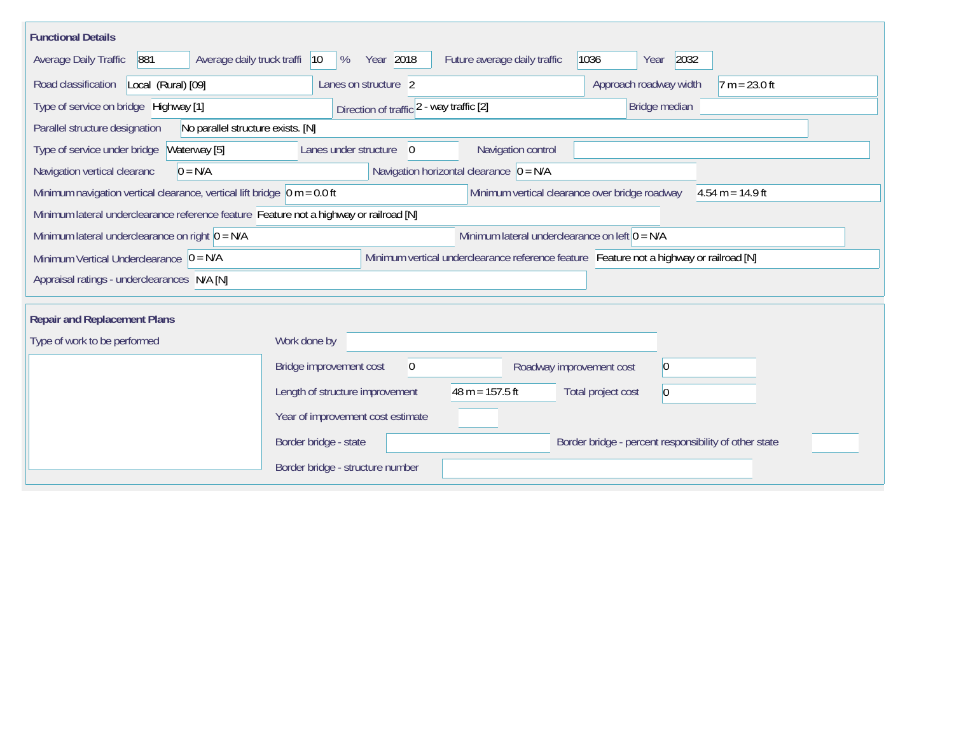| <b>Functional Details</b>                                                                                                                        |                                                                                           |                    |  |  |  |  |  |
|--------------------------------------------------------------------------------------------------------------------------------------------------|-------------------------------------------------------------------------------------------|--------------------|--|--|--|--|--|
| <b>Average Daily Traffic</b><br>881<br>Average daily truck traffi                                                                                | 2032<br>Year 2018<br>Future average daily traffic<br>1036<br> 10<br>%<br>Year             |                    |  |  |  |  |  |
| Road classification<br>Local (Rural) [09]                                                                                                        | Approach roadway width<br>Lanes on structure 2                                            | $7 m = 23.0 ft$    |  |  |  |  |  |
| Type of service on bridge Highway [1]                                                                                                            | Bridge median<br>Direction of traffic 2 - way traffic [2]                                 |                    |  |  |  |  |  |
| No parallel structure exists. [N]<br>Parallel structure designation                                                                              |                                                                                           |                    |  |  |  |  |  |
| Type of service under bridge<br>Waterway [5]                                                                                                     | Navigation control<br>Lanes under structure<br>$\Omega$                                   |                    |  |  |  |  |  |
| Navigation vertical clearanc<br>$0 = N/A$                                                                                                        | Navigation horizontal clearance $ 0 = N/A $                                               |                    |  |  |  |  |  |
| Minimum navigation vertical clearance, vertical lift bridge $ 0 m = 0.0$ ft                                                                      | Minimum vertical clearance over bridge roadway                                            | $4.54 m = 14.9 ft$ |  |  |  |  |  |
| Minimum lateral underclearance reference feature Feature not a highway or railroad [N]                                                           |                                                                                           |                    |  |  |  |  |  |
| Minimum lateral underclearance on left $0 = N/A$<br>Minimum lateral underclearance on right $0 = N/A$                                            |                                                                                           |                    |  |  |  |  |  |
| Minimum vertical underclearance reference feature Feature not a highway or railroad [N]<br>Minimum Vertical Underclearance $\vert 0 = N/A \vert$ |                                                                                           |                    |  |  |  |  |  |
| Appraisal ratings - underclearances N/A [N]                                                                                                      |                                                                                           |                    |  |  |  |  |  |
|                                                                                                                                                  |                                                                                           |                    |  |  |  |  |  |
| <b>Repair and Replacement Plans</b>                                                                                                              |                                                                                           |                    |  |  |  |  |  |
| Type of work to be performed                                                                                                                     | Work done by                                                                              |                    |  |  |  |  |  |
|                                                                                                                                                  | Bridge improvement cost<br>$\boldsymbol{0}$<br>$ 0\rangle$<br>Roadway improvement cost    |                    |  |  |  |  |  |
|                                                                                                                                                  | $48 m = 157.5 ft$<br>Length of structure improvement<br>Total project cost<br>$ 0\rangle$ |                    |  |  |  |  |  |
|                                                                                                                                                  | Year of improvement cost estimate                                                         |                    |  |  |  |  |  |
|                                                                                                                                                  | Border bridge - state<br>Border bridge - percent responsibility of other state            |                    |  |  |  |  |  |
|                                                                                                                                                  | Border bridge - structure number                                                          |                    |  |  |  |  |  |